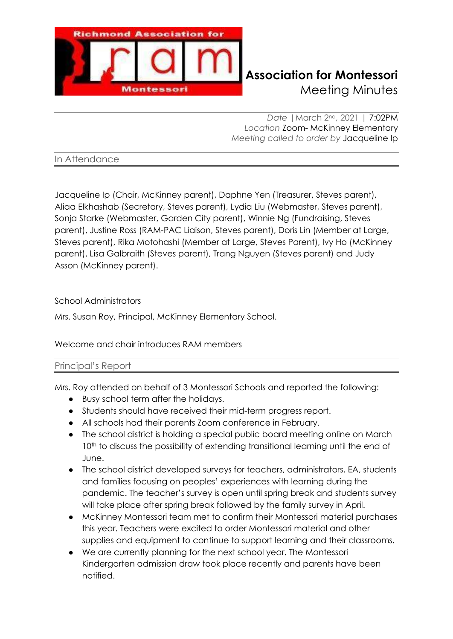

*Date |*March 2nd, 2021 | 7:02PM *Location* Zoom- McKinney Elementary *Meeting called to order by* Jacqueline Ip

## In Attendance

Jacqueline Ip (Chair, McKinney parent), Daphne Yen (Treasurer, Steves parent), Aliaa Elkhashab (Secretary, Steves parent), Lydia Liu (Webmaster, Steves parent), Sonja Starke (Webmaster, Garden City parent), Winnie Ng (Fundraising, Steves parent), Justine Ross (RAM-PAC Liaison, Steves parent), Doris Lin (Member at Large, Steves parent), Rika Motohashi (Member at Large, Steves Parent), Ivy Ho (McKinney parent), Lisa Galbraith (Steves parent), Trang Nguyen (Steves parent) and Judy Asson (McKinney parent).

## School Administrators

Mrs. Susan Roy, Principal, McKinney Elementary School.

# Welcome and chair introduces RAM members

### Principal's Report

Mrs. Roy attended on behalf of 3 Montessori Schools and reported the following:

- Busy school term after the holidays.
- Students should have received their mid-term progress report.
- All schools had their parents Zoom conference in February.
- The school district is holding a special public board meeting online on March 10<sup>th</sup> to discuss the possibility of extending transitional learning until the end of June.
- The school district developed surveys for teachers, administrators, EA, students and families focusing on peoples' experiences with learning during the pandemic. The teacher's survey is open until spring break and students survey will take place after spring break followed by the family survey in April.
- McKinney Montessori team met to confirm their Montessori material purchases this year. Teachers were excited to order Montessori material and other supplies and equipment to continue to support learning and their classrooms.
- We are currently planning for the next school year. The Montessori Kindergarten admission draw took place recently and parents have been notified.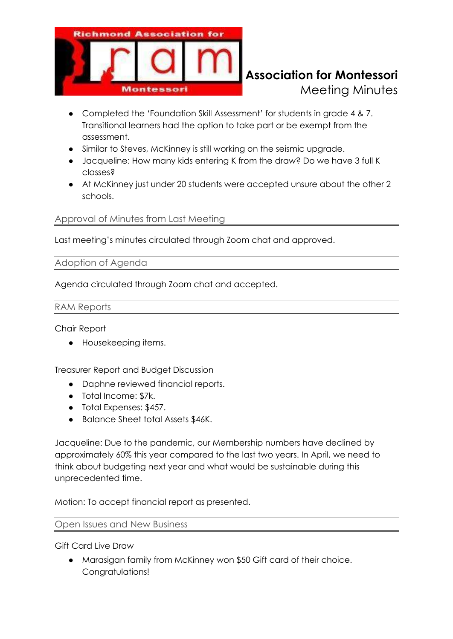

- Completed the 'Foundation Skill Assessment' for students in grade 4 & 7. Transitional learners had the option to take part or be exempt from the assessment.
- Similar to Steves, McKinney is still working on the seismic upgrade.
- Jacqueline: How many kids entering K from the draw? Do we have 3 full K classes?
- At McKinney just under 20 students were accepted unsure about the other 2 schools.

# Approval of Minutes from Last Meeting

Last meeting's minutes circulated through Zoom chat and approved.

### Adoption of Agenda

Agenda circulated through Zoom chat and accepted.

### RAM Reports

Chair Report

● Housekeeping items.

Treasurer Report and Budget Discussion

- Daphne reviewed financial reports.
- Total Income: \$7k.
- Total Expenses: \$457.
- Balance Sheet total Assets \$46K.

Jacqueline: Due to the pandemic, our Membership numbers have declined by approximately 60% this year compared to the last two years. In April, we need to think about budgeting next year and what would be sustainable during this unprecedented time.

Motion: To accept financial report as presented.

#### Open Issues and New Business

Gift Card Live Draw

• Marasigan family from McKinney won \$50 Gift card of their choice. Congratulations!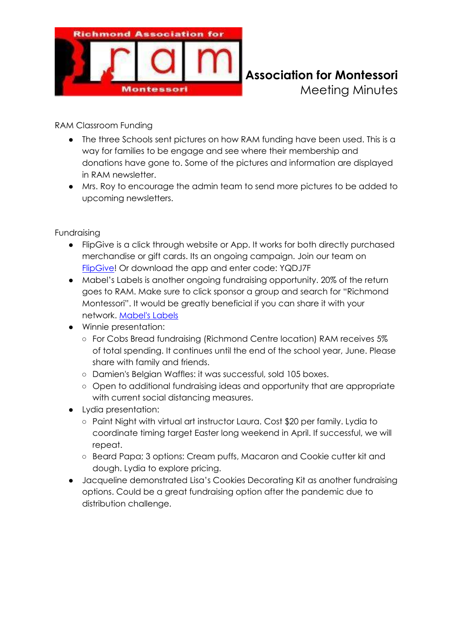

RAM Classroom Funding

- The three Schools sent pictures on how RAM funding have been used. This is a way for families to be engage and see where their membership and donations have gone to. Some of the pictures and information are displayed in RAM newsletter.
- Mrs. Roy to encourage the admin team to send more pictures to be added to upcoming newsletters.

Fundraising

- FlipGive is a click through website or App. It works for both directly purchased merchandise or gift cards. Its an ongoing campaign. Join our team on [FlipGive!](https://scotiabankhockeyclub.flipgive.com/f/1172093) Or download the app and enter code: YQDJ7F
- Mabel's Labels is another ongoing fundraising opportunity. 20% of the return goes to RAM. Make sure to click sponsor a group and search for "Richmond Montessori". It would be greatly beneficial if you can share it with your network. [Mabel's Labels](https://mabelslabels.ca/en_CA/fundraising/support/)
- Winnie presentation:
	- For Cobs Bread fundraising (Richmond Centre location) RAM receives 5% of total spending. It continues until the end of the school year, June. Please share with family and friends.
	- Damien's Belgian Waffles: it was successful, sold 105 boxes.
	- Open to additional fundraising ideas and opportunity that are appropriate with current social distancing measures.
- Lydia presentation:
	- Paint Night with virtual art instructor Laura. Cost \$20 per family. Lydia to coordinate timing target Easter long weekend in April. If successful, we will repeat.
	- Beard Papa; 3 options: Cream puffs, Macaron and Cookie cutter kit and dough. Lydia to explore pricing.
- Jacqueline demonstrated Lisa's Cookies Decorating Kit as another fundraising options. Could be a great fundraising option after the pandemic due to distribution challenge.